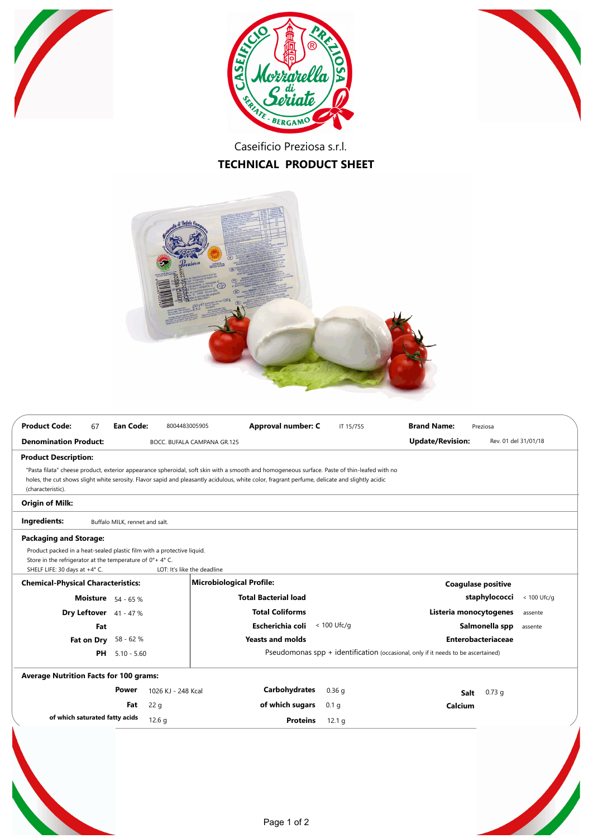





Caseificio Preziosa s.r.l. **TECHNICAL PRODUCT SHEET**



| <b>Product Code:</b><br>67                                                                                                                                                                                                                                                                                                                         | <b>Ean Code:</b>               | 8004483005905                                                                                        |                                 | Approval number: C                | IT 15/755        | <b>Brand Name:</b>        | Preziosa                          |                      |  |
|----------------------------------------------------------------------------------------------------------------------------------------------------------------------------------------------------------------------------------------------------------------------------------------------------------------------------------------------------|--------------------------------|------------------------------------------------------------------------------------------------------|---------------------------------|-----------------------------------|------------------|---------------------------|-----------------------------------|----------------------|--|
| <b>Denomination Product:</b>                                                                                                                                                                                                                                                                                                                       |                                |                                                                                                      | BOCC. BUFALA CAMPANA GR.125     |                                   |                  | <b>Update/Revision:</b>   |                                   | Rev. 01 del 31/01/18 |  |
| <b>Product Description:</b><br>"Pasta filata" cheese product, exterior appearance spheroidal, soft skin with a smooth and homogeneous surface. Paste of thin-leafed with no<br>holes, the cut shows slight white serosity. Flavor sapid and pleasantly acidulous, white color, fragrant perfume, delicate and slightly acidic<br>(characteristic). |                                |                                                                                                      |                                 |                                   |                  |                           |                                   |                      |  |
| <b>Origin of Milk:</b>                                                                                                                                                                                                                                                                                                                             |                                |                                                                                                      |                                 |                                   |                  |                           |                                   |                      |  |
| Ingredients:                                                                                                                                                                                                                                                                                                                                       | Buffalo MILK, rennet and salt. |                                                                                                      |                                 |                                   |                  |                           |                                   |                      |  |
| <b>Packaging and Storage:</b><br>Product packed in a heat-sealed plastic film with a protective liquid.<br>Store in the refrigerator at the temperature of 0°+4°C.<br>SHELF LIFE: 30 days at +4° C.                                                                                                                                                |                                |                                                                                                      | LOT: It's like the deadline     |                                   |                  |                           |                                   |                      |  |
| <b>Chemical-Physical Characteristics:</b>                                                                                                                                                                                                                                                                                                          |                                |                                                                                                      | <b>Microbiological Profile:</b> |                                   |                  |                           | <b>Coagulase positive</b>         |                      |  |
|                                                                                                                                                                                                                                                                                                                                                    | <b>Moisture</b> 54 - 65 %      |                                                                                                      |                                 | <b>Total Bacterial load</b>       |                  |                           | staphylococci                     | < 100 Ufc/g          |  |
| Dry Leftover 41 - 47 %                                                                                                                                                                                                                                                                                                                             |                                |                                                                                                      | <b>Total Coliforms</b>          |                                   |                  |                           | Listeria monocytogenes<br>assente |                      |  |
|                                                                                                                                                                                                                                                                                                                                                    | Fat                            |                                                                                                      |                                 | Escherichia coli<br>$< 100$ Ufc/g |                  |                           | Salmonella spp<br>assente         |                      |  |
| Fat on Dry                                                                                                                                                                                                                                                                                                                                         | 58 - 62 %                      |                                                                                                      | <b>Yeasts and molds</b>         |                                   |                  | <b>Enterobacteriaceae</b> |                                   |                      |  |
| PH                                                                                                                                                                                                                                                                                                                                                 |                                | Pseudomonas $spp + identification$ (occasional, only if it needs to be ascertained)<br>$5.10 - 5.60$ |                                 |                                   |                  |                           |                                   |                      |  |
| <b>Average Nutrition Facts for 100 grams:</b>                                                                                                                                                                                                                                                                                                      |                                |                                                                                                      |                                 |                                   |                  |                           |                                   |                      |  |
|                                                                                                                                                                                                                                                                                                                                                    | <b>Power</b>                   | 1026 KJ - 248 Kcal                                                                                   |                                 | <b>Carbohydrates</b>              | 0.36 g           |                           | $0.73$ g<br>Salt                  |                      |  |
|                                                                                                                                                                                                                                                                                                                                                    | Fat                            | 22 <sub>q</sub>                                                                                      |                                 | of which sugars                   | 0.1 <sub>q</sub> | Calcium                   |                                   |                      |  |
| of which saturated fatty acids                                                                                                                                                                                                                                                                                                                     |                                | 12.6 <sub>q</sub>                                                                                    |                                 | <b>Proteins</b>                   | 12.1 g           |                           |                                   |                      |  |
|                                                                                                                                                                                                                                                                                                                                                    |                                |                                                                                                      |                                 |                                   |                  |                           |                                   |                      |  |